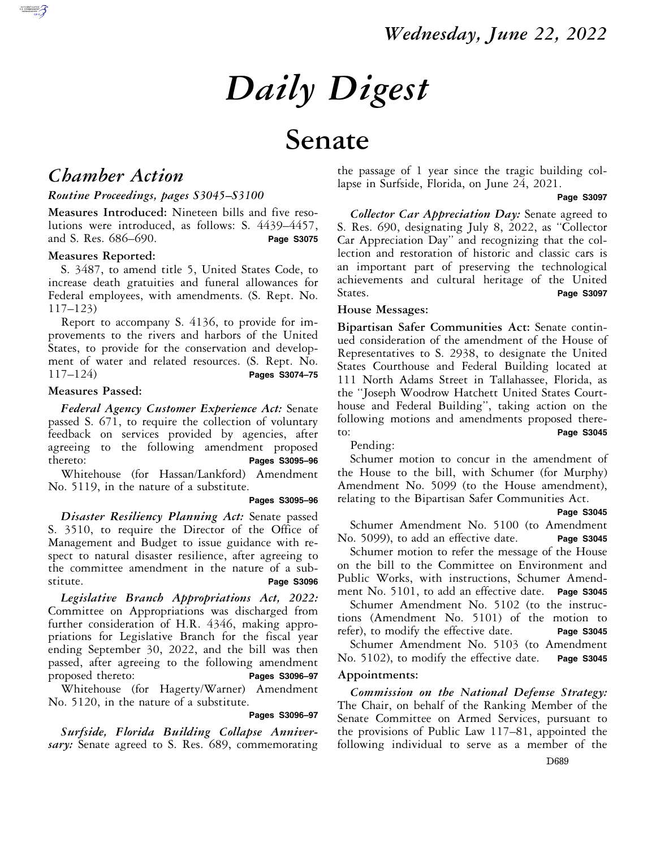# *Daily Digest*

# **Senate**

# *Chamber Action*

#### *Routine Proceedings, pages S3045–S3100*

**Measures Introduced:** Nineteen bills and five resolutions were introduced, as follows: S. 4439–4457, and S. Res. 686–690. **Page S3075** 

#### **Measures Reported:**

S. 3487, to amend title 5, United States Code, to increase death gratuities and funeral allowances for Federal employees, with amendments. (S. Rept. No. 117–123)

Report to accompany S. 4136, to provide for improvements to the rivers and harbors of the United States, to provide for the conservation and development of water and related resources. (S. Rept. No. 117–124) **Pages S3074–75** 

#### **Measures Passed:**

*Federal Agency Customer Experience Act:* Senate passed S. 671, to require the collection of voluntary feedback on services provided by agencies, after agreeing to the following amendment proposed thereto: **Pages S3095–96** 

Whitehouse (for Hassan/Lankford) Amendment No. 5119, in the nature of a substitute.

#### **Pages S3095–96**

*Disaster Resiliency Planning Act:* Senate passed S. 3510, to require the Director of the Office of Management and Budget to issue guidance with respect to natural disaster resilience, after agreeing to the committee amendment in the nature of a substitute. **Page S3096** 

*Legislative Branch Appropriations Act, 2022:*  Committee on Appropriations was discharged from further consideration of H.R. 4346, making appropriations for Legislative Branch for the fiscal year ending September 30, 2022, and the bill was then passed, after agreeing to the following amendment proposed thereto: **Pages S3096–97** 

Whitehouse (for Hagerty/Warner) Amendment No. 5120, in the nature of a substitute.

#### **Pages S3096–97**

*Surfside, Florida Building Collapse Anniversary:* Senate agreed to S. Res. 689, commemorating

the passage of 1 year since the tragic building collapse in Surfside, Florida, on June 24, 2021.

#### **Page S3097**

*Collector Car Appreciation Day:* Senate agreed to S. Res. 690, designating July 8, 2022, as ''Collector Car Appreciation Day'' and recognizing that the collection and restoration of historic and classic cars is an important part of preserving the technological achievements and cultural heritage of the United States. Page S3097

#### **House Messages:**

**Bipartisan Safer Communities Act:** Senate continued consideration of the amendment of the House of Representatives to S. 2938, to designate the United States Courthouse and Federal Building located at 111 North Adams Street in Tallahassee, Florida, as the ''Joseph Woodrow Hatchett United States Courthouse and Federal Building'', taking action on the following motions and amendments proposed thereto: **Page S3045** 

Pending:

Schumer motion to concur in the amendment of the House to the bill, with Schumer (for Murphy) Amendment No. 5099 (to the House amendment), relating to the Bipartisan Safer Communities Act.

#### **Page S3045**

Schumer Amendment No. 5100 (to Amendment No. 5099), to add an effective date. **Page S3045** 

Schumer motion to refer the message of the House on the bill to the Committee on Environment and Public Works, with instructions, Schumer Amendment No. 5101, to add an effective date. **Page S3045** 

Schumer Amendment No. 5102 (to the instructions (Amendment No. 5101) of the motion to refer), to modify the effective date. **Page S3045** 

Schumer Amendment No. 5103 (to Amendment No. 5102), to modify the effective date. **Page S3045** 

#### **Appointments:**

*Commission on the National Defense Strategy:*  The Chair, on behalf of the Ranking Member of the Senate Committee on Armed Services, pursuant to the provisions of Public Law 117–81, appointed the following individual to serve as a member of the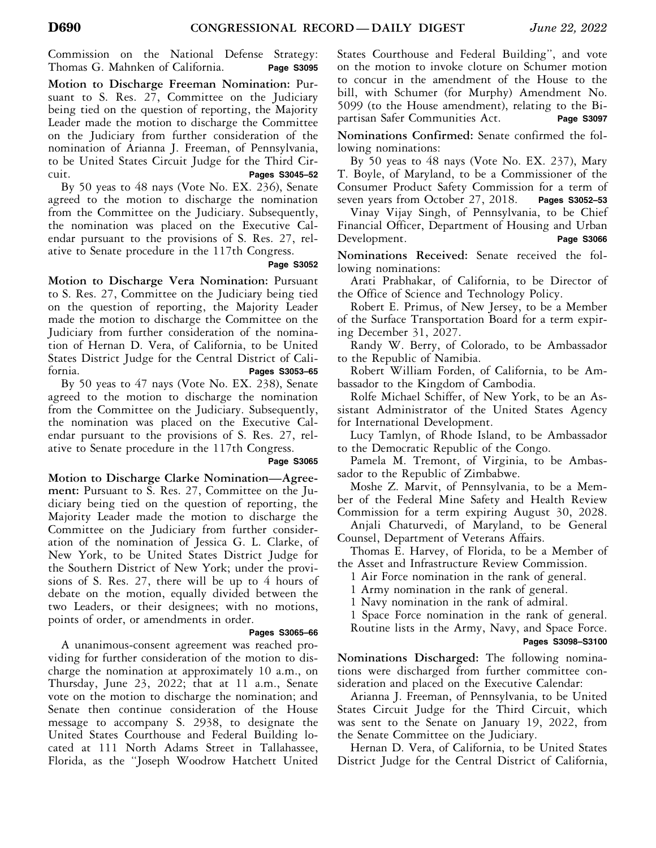Commission on the National Defense Strategy: Thomas G. Mahnken of California. **Page S3095** 

**Motion to Discharge Freeman Nomination:** Pursuant to S. Res. 27, Committee on the Judiciary being tied on the question of reporting, the Majority Leader made the motion to discharge the Committee on the Judiciary from further consideration of the nomination of Arianna J. Freeman, of Pennsylvania, to be United States Circuit Judge for the Third Circuit. **Pages S3045–52** 

By 50 yeas to 48 nays (Vote No. EX. 236), Senate agreed to the motion to discharge the nomination from the Committee on the Judiciary. Subsequently, the nomination was placed on the Executive Calendar pursuant to the provisions of S. Res. 27, relative to Senate procedure in the 117th Congress.

#### **Page S3052**

**Motion to Discharge Vera Nomination:** Pursuant to S. Res. 27, Committee on the Judiciary being tied on the question of reporting, the Majority Leader made the motion to discharge the Committee on the Judiciary from further consideration of the nomination of Hernan D. Vera, of California, to be United States District Judge for the Central District of California. **Pages S3053–65** 

By 50 yeas to 47 nays (Vote No. EX. 238), Senate agreed to the motion to discharge the nomination from the Committee on the Judiciary. Subsequently, the nomination was placed on the Executive Calendar pursuant to the provisions of S. Res. 27, relative to Senate procedure in the 117th Congress.

#### **Page S3065**

**Motion to Discharge Clarke Nomination—Agreement:** Pursuant to S. Res. 27, Committee on the Judiciary being tied on the question of reporting, the Majority Leader made the motion to discharge the Committee on the Judiciary from further consideration of the nomination of Jessica G. L. Clarke, of New York, to be United States District Judge for the Southern District of New York; under the provisions of S. Res. 27, there will be up to 4 hours of debate on the motion, equally divided between the two Leaders, or their designees; with no motions, points of order, or amendments in order.

#### **Pages S3065–66**

A unanimous-consent agreement was reached providing for further consideration of the motion to discharge the nomination at approximately 10 a.m., on Thursday, June 23, 2022; that at 11 a.m., Senate vote on the motion to discharge the nomination; and Senate then continue consideration of the House message to accompany S. 2938, to designate the United States Courthouse and Federal Building located at 111 North Adams Street in Tallahassee, Florida, as the ''Joseph Woodrow Hatchett United States Courthouse and Federal Building'', and vote on the motion to invoke cloture on Schumer motion to concur in the amendment of the House to the bill, with Schumer (for Murphy) Amendment No. 5099 (to the House amendment), relating to the Bipartisan Safer Communities Act. **Page S3097** 

**Nominations Confirmed:** Senate confirmed the following nominations:

By 50 yeas to 48 nays (Vote No. EX. 237), Mary T. Boyle, of Maryland, to be a Commissioner of the Consumer Product Safety Commission for a term of seven years from October 27, 2018. **Pages S3052–53** 

Vinay Vijay Singh, of Pennsylvania, to be Chief Financial Officer, Department of Housing and Urban Development. **Page S3066** 

**Nominations Received:** Senate received the following nominations:

Arati Prabhakar, of California, to be Director of the Office of Science and Technology Policy.

Robert E. Primus, of New Jersey, to be a Member of the Surface Transportation Board for a term expiring December 31, 2027.

Randy W. Berry, of Colorado, to be Ambassador to the Republic of Namibia.

Robert William Forden, of California, to be Ambassador to the Kingdom of Cambodia.

Rolfe Michael Schiffer, of New York, to be an Assistant Administrator of the United States Agency for International Development.

Lucy Tamlyn, of Rhode Island, to be Ambassador to the Democratic Republic of the Congo.

Pamela M. Tremont, of Virginia, to be Ambassador to the Republic of Zimbabwe.

Moshe Z. Marvit, of Pennsylvania, to be a Member of the Federal Mine Safety and Health Review Commission for a term expiring August 30, 2028.

Anjali Chaturvedi, of Maryland, to be General Counsel, Department of Veterans Affairs.

Thomas E. Harvey, of Florida, to be a Member of the Asset and Infrastructure Review Commission.

1 Air Force nomination in the rank of general.

1 Army nomination in the rank of general.

1 Navy nomination in the rank of admiral.

1 Space Force nomination in the rank of general.

Routine lists in the Army, Navy, and Space Force.  **Pages S3098–S3100** 

**Nominations Discharged:** The following nominations were discharged from further committee consideration and placed on the Executive Calendar:

Arianna J. Freeman, of Pennsylvania, to be United States Circuit Judge for the Third Circuit, which was sent to the Senate on January 19, 2022, from the Senate Committee on the Judiciary.

Hernan D. Vera, of California, to be United States District Judge for the Central District of California,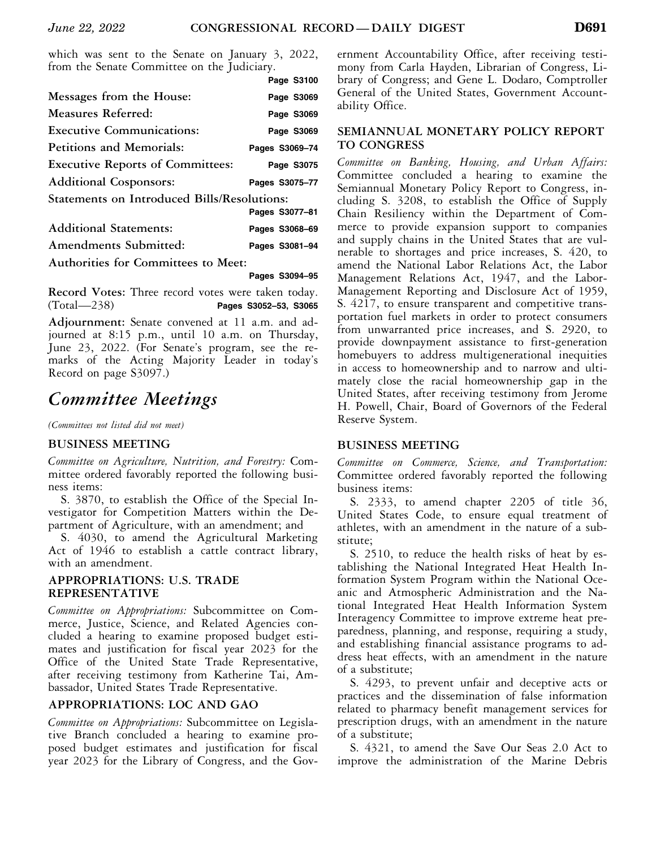which was sent to the Senate on January 3, 2022, from the Senate Committee on the Judiciary.

|                                                    | Page S3100     |
|----------------------------------------------------|----------------|
| Messages from the House:                           | Page S3069     |
| Measures Referred:                                 | Page S3069     |
| <b>Executive Communications:</b>                   | Page S3069     |
| <b>Petitions and Memorials:</b>                    | Pages S3069-74 |
| <b>Executive Reports of Committees:</b>            | Page S3075     |
| <b>Additional Cosponsors:</b>                      | Pages S3075-77 |
| <b>Statements on Introduced Bills/Resolutions:</b> |                |
|                                                    | Pages S3077-81 |
| <b>Additional Statements:</b>                      | Pages S3068-69 |
| Amendments Submitted:                              | Pages S3081-94 |
| Authorities for Committees to Meet:                |                |

 **Pages S3094–95** 

**Record Votes:** Three record votes were taken today. (Total—238) **Pages S3052–53, S3065** 

**Adjournment:** Senate convened at 11 a.m. and adjourned at 8:15 p.m., until 10 a.m. on Thursday, June 23, 2022. (For Senate's program, see the remarks of the Acting Majority Leader in today's Record on page S3097.)

# *Committee Meetings*

*(Committees not listed did not meet)* 

#### **BUSINESS MEETING**

*Committee on Agriculture, Nutrition, and Forestry:* Committee ordered favorably reported the following business items:

S. 3870, to establish the Office of the Special Investigator for Competition Matters within the Department of Agriculture, with an amendment; and

S. 4030, to amend the Agricultural Marketing Act of 1946 to establish a cattle contract library, with an amendment.

#### **APPROPRIATIONS: U.S. TRADE REPRESENTATIVE**

*Committee on Appropriations:* Subcommittee on Commerce, Justice, Science, and Related Agencies concluded a hearing to examine proposed budget estimates and justification for fiscal year 2023 for the Office of the United State Trade Representative, after receiving testimony from Katherine Tai, Ambassador, United States Trade Representative.

#### **APPROPRIATIONS: LOC AND GAO**

*Committee on Appropriations:* Subcommittee on Legislative Branch concluded a hearing to examine proposed budget estimates and justification for fiscal year 2023 for the Library of Congress, and the Government Accountability Office, after receiving testimony from Carla Hayden, Librarian of Congress, Library of Congress; and Gene L. Dodaro, Comptroller General of the United States, Government Accountability Office.

#### **SEMIANNUAL MONETARY POLICY REPORT TO CONGRESS**

*Committee on Banking, Housing, and Urban Affairs:*  Committee concluded a hearing to examine the Semiannual Monetary Policy Report to Congress, including S. 3208, to establish the Office of Supply Chain Resiliency within the Department of Commerce to provide expansion support to companies and supply chains in the United States that are vulnerable to shortages and price increases, S. 420, to amend the National Labor Relations Act, the Labor Management Relations Act, 1947, and the Labor-Management Reporting and Disclosure Act of 1959, S. 4217, to ensure transparent and competitive transportation fuel markets in order to protect consumers from unwarranted price increases, and S. 2920, to provide downpayment assistance to first-generation homebuyers to address multigenerational inequities in access to homeownership and to narrow and ultimately close the racial homeownership gap in the United States, after receiving testimony from Jerome H. Powell, Chair, Board of Governors of the Federal Reserve System.

#### **BUSINESS MEETING**

*Committee on Commerce, Science, and Transportation:*  Committee ordered favorably reported the following business items:

S. 2333, to amend chapter 2205 of title 36, United States Code, to ensure equal treatment of athletes, with an amendment in the nature of a substitute;

S. 2510, to reduce the health risks of heat by establishing the National Integrated Heat Health Information System Program within the National Oceanic and Atmospheric Administration and the National Integrated Heat Health Information System Interagency Committee to improve extreme heat preparedness, planning, and response, requiring a study, and establishing financial assistance programs to address heat effects, with an amendment in the nature of a substitute;

S. 4293, to prevent unfair and deceptive acts or practices and the dissemination of false information related to pharmacy benefit management services for prescription drugs, with an amendment in the nature of a substitute;

S. 4321, to amend the Save Our Seas 2.0 Act to improve the administration of the Marine Debris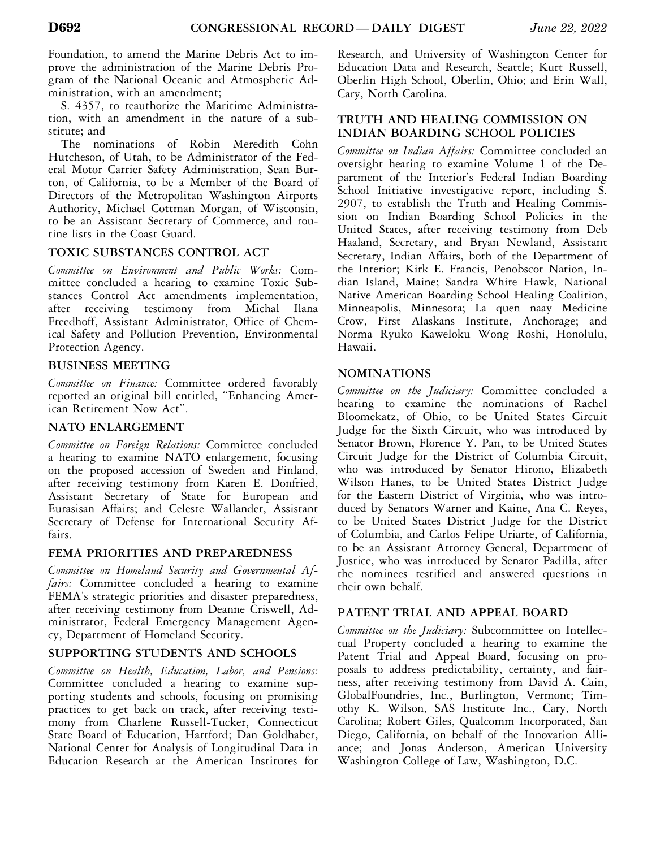Foundation, to amend the Marine Debris Act to improve the administration of the Marine Debris Program of the National Oceanic and Atmospheric Administration, with an amendment;

S. 4357, to reauthorize the Maritime Administration, with an amendment in the nature of a substitute; and

The nominations of Robin Meredith Cohn Hutcheson, of Utah, to be Administrator of the Federal Motor Carrier Safety Administration, Sean Burton, of California, to be a Member of the Board of Directors of the Metropolitan Washington Airports Authority, Michael Cottman Morgan, of Wisconsin, to be an Assistant Secretary of Commerce, and routine lists in the Coast Guard.

# **TOXIC SUBSTANCES CONTROL ACT**

*Committee on Environment and Public Works:* Committee concluded a hearing to examine Toxic Substances Control Act amendments implementation, after receiving testimony from Michal Ilana Freedhoff, Assistant Administrator, Office of Chemical Safety and Pollution Prevention, Environmental Protection Agency.

# **BUSINESS MEETING**

*Committee on Finance:* Committee ordered favorably reported an original bill entitled, ''Enhancing American Retirement Now Act''.

# **NATO ENLARGEMENT**

*Committee on Foreign Relations:* Committee concluded a hearing to examine NATO enlargement, focusing on the proposed accession of Sweden and Finland, after receiving testimony from Karen E. Donfried, Assistant Secretary of State for European and Eurasisan Affairs; and Celeste Wallander, Assistant Secretary of Defense for International Security Affairs.

## **FEMA PRIORITIES AND PREPAREDNESS**

*Committee on Homeland Security and Governmental Affairs:* Committee concluded a hearing to examine FEMA's strategic priorities and disaster preparedness, after receiving testimony from Deanne Criswell, Administrator, Federal Emergency Management Agency, Department of Homeland Security.

# **SUPPORTING STUDENTS AND SCHOOLS**

*Committee on Health, Education, Labor, and Pensions:*  Committee concluded a hearing to examine supporting students and schools, focusing on promising practices to get back on track, after receiving testimony from Charlene Russell-Tucker, Connecticut State Board of Education, Hartford; Dan Goldhaber, National Center for Analysis of Longitudinal Data in Education Research at the American Institutes for

Research, and University of Washington Center for Education Data and Research, Seattle; Kurt Russell, Oberlin High School, Oberlin, Ohio; and Erin Wall, Cary, North Carolina.

## **TRUTH AND HEALING COMMISSION ON INDIAN BOARDING SCHOOL POLICIES**

*Committee on Indian Affairs:* Committee concluded an oversight hearing to examine Volume 1 of the Department of the Interior's Federal Indian Boarding School Initiative investigative report, including S. 2907, to establish the Truth and Healing Commission on Indian Boarding School Policies in the United States, after receiving testimony from Deb Haaland, Secretary, and Bryan Newland, Assistant Secretary, Indian Affairs, both of the Department of the Interior; Kirk E. Francis, Penobscot Nation, Indian Island, Maine; Sandra White Hawk, National Native American Boarding School Healing Coalition, Minneapolis, Minnesota; La quen naay Medicine Crow, First Alaskans Institute, Anchorage; and Norma Ryuko Kaweloku Wong Roshi, Honolulu, Hawaii.

# **NOMINATIONS**

*Committee on the Judiciary:* Committee concluded a hearing to examine the nominations of Rachel Bloomekatz, of Ohio, to be United States Circuit Judge for the Sixth Circuit, who was introduced by Senator Brown, Florence Y. Pan, to be United States Circuit Judge for the District of Columbia Circuit, who was introduced by Senator Hirono, Elizabeth Wilson Hanes, to be United States District Judge for the Eastern District of Virginia, who was introduced by Senators Warner and Kaine, Ana C. Reyes, to be United States District Judge for the District of Columbia, and Carlos Felipe Uriarte, of California, to be an Assistant Attorney General, Department of Justice, who was introduced by Senator Padilla, after the nominees testified and answered questions in their own behalf.

# **PATENT TRIAL AND APPEAL BOARD**

*Committee on the Judiciary:* Subcommittee on Intellectual Property concluded a hearing to examine the Patent Trial and Appeal Board, focusing on proposals to address predictability, certainty, and fairness, after receiving testimony from David A. Cain, GlobalFoundries, Inc., Burlington, Vermont; Timothy K. Wilson, SAS Institute Inc., Cary, North Carolina; Robert Giles, Qualcomm Incorporated, San Diego, California, on behalf of the Innovation Alliance; and Jonas Anderson, American University Washington College of Law, Washington, D.C.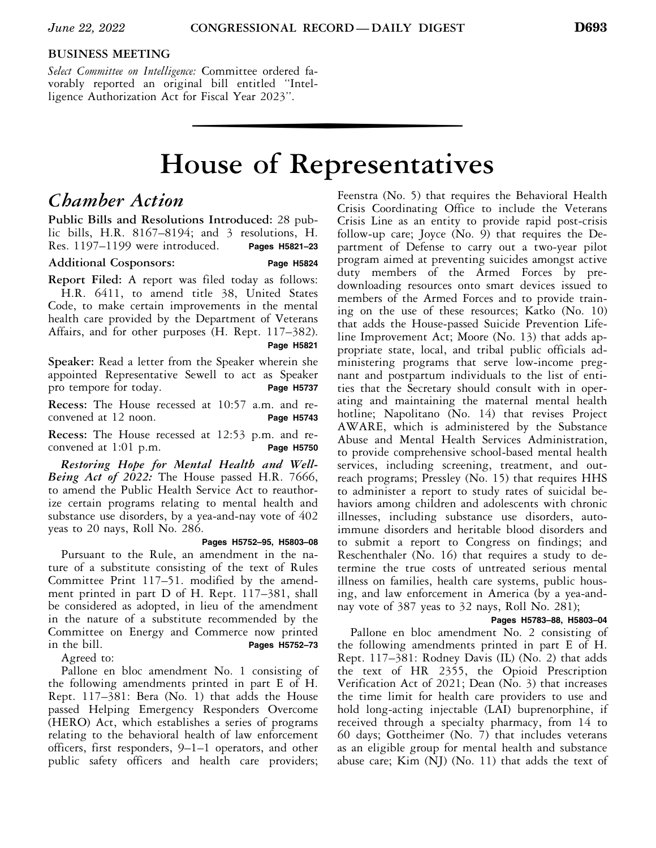## **BUSINESS MEETING**

*Select Committee on Intelligence:* Committee ordered favorably reported an original bill entitled ''Intelligence Authorization Act for Fiscal Year 2023''.

# wise of Representative **House of Representatives**

# *Chamber Action*

**Public Bills and Resolutions Introduced:** 28 public bills, H.R. 8167–8194; and 3 resolutions, H. Res. 1197–1199 were introduced. **Pages H5821–23** 

#### **Additional Cosponsors: Page H5824**

**Report Filed:** A report was filed today as follows: H.R. 6411, to amend title 38, United States Code, to make certain improvements in the mental health care provided by the Department of Veterans Affairs, and for other purposes (H. Rept. 117–382).

 **Page H5821** 

**Speaker:** Read a letter from the Speaker wherein she appointed Representative Sewell to act as Speaker pro tempore for today. **Page H5737** 

**Recess:** The House recessed at 10:57 a.m. and reconvened at 12 noon. **Page H5743** 

**Recess:** The House recessed at 12:53 p.m. and reconvened at 1:01 p.m. **Page H5750** 

*Restoring Hope for Mental Health and Well-Being Act of 2022:* The House passed H.R. 7666, to amend the Public Health Service Act to reauthorize certain programs relating to mental health and substance use disorders, by a yea-and-nay vote of 402 yeas to 20 nays, Roll No. 286.

 **Pages H5752–95, H5803–08**  Pursuant to the Rule, an amendment in the nature of a substitute consisting of the text of Rules Committee Print 117–51. modified by the amendment printed in part D of H. Rept. 117–381, shall be considered as adopted, in lieu of the amendment in the nature of a substitute recommended by the Committee on Energy and Commerce now printed<br>in the bill. Pages H5752-73 in the bill. **Pages H5752–73** 

Agreed to:

Pallone en bloc amendment No. 1 consisting of the following amendments printed in part E of H. Rept. 117–381: Bera (No. 1) that adds the House passed Helping Emergency Responders Overcome (HERO) Act, which establishes a series of programs relating to the behavioral health of law enforcement officers, first responders, 9–1–1 operators, and other public safety officers and health care providers;

Feenstra (No. 5) that requires the Behavioral Health Crisis Coordinating Office to include the Veterans Crisis Line as an entity to provide rapid post-crisis follow-up care; Joyce (No. 9) that requires the Department of Defense to carry out a two-year pilot program aimed at preventing suicides amongst active duty members of the Armed Forces by predownloading resources onto smart devices issued to members of the Armed Forces and to provide training on the use of these resources; Katko (No. 10) that adds the House-passed Suicide Prevention Lifeline Improvement Act; Moore (No. 13) that adds appropriate state, local, and tribal public officials administering programs that serve low-income pregnant and postpartum individuals to the list of entities that the Secretary should consult with in operating and maintaining the maternal mental health hotline; Napolitano (No. 14) that revises Project AWARE, which is administered by the Substance Abuse and Mental Health Services Administration, to provide comprehensive school-based mental health services, including screening, treatment, and outreach programs; Pressley (No. 15) that requires HHS to administer a report to study rates of suicidal behaviors among children and adolescents with chronic illnesses, including substance use disorders, autoimmune disorders and heritable blood disorders and to submit a report to Congress on findings; and Reschenthaler (No. 16) that requires a study to determine the true costs of untreated serious mental illness on families, health care systems, public housing, and law enforcement in America (by a yea-andnay vote of 387 yeas to 32 nays, Roll No. 281);

#### **Pages H5783–88, H5803–04**

Pallone en bloc amendment No. 2 consisting of the following amendments printed in part E of H. Rept. 117–381: Rodney Davis (IL) (No. 2) that adds the text of HR 2355, the Opioid Prescription Verification Act of 2021; Dean (No. 3) that increases the time limit for health care providers to use and hold long-acting injectable (LAI) buprenorphine, if received through a specialty pharmacy, from 14 to 60 days; Gottheimer (No. 7) that includes veterans as an eligible group for mental health and substance abuse care; Kim (NJ) (No. 11) that adds the text of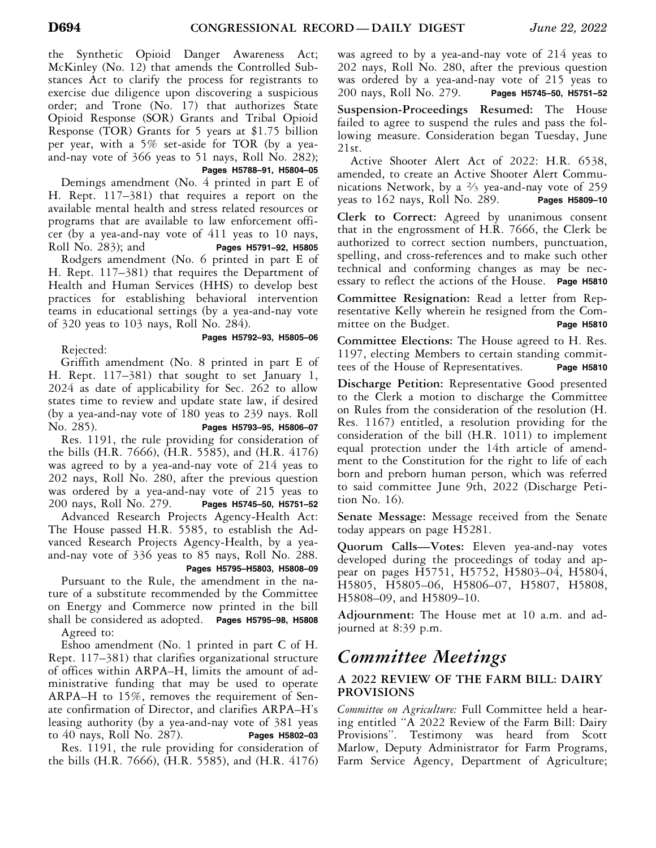the Synthetic Opioid Danger Awareness Act; McKinley (No. 12) that amends the Controlled Substances Act to clarify the process for registrants to exercise due diligence upon discovering a suspicious order; and Trone (No. 17) that authorizes State Opioid Response (SOR) Grants and Tribal Opioid Response (TOR) Grants for 5 years at \$1.75 billion per year, with a 5% set-aside for TOR (by a yeaand-nay vote of 366 yeas to 51 nays, Roll No. 282);

 **Pages H5788–91, H5804–05** 

Demings amendment (No. 4 printed in part E of H. Rept. 117–381) that requires a report on the available mental health and stress related resources or programs that are available to law enforcement officer (by a yea-and-nay vote of  $411$  yeas to  $10$  nays,<br>Roll No. 283); and **Pages H5791-92**, H5805 Roll No. 283); and **Pages H5791–92, H5805** 

Rodgers amendment (No. 6 printed in part E of H. Rept. 117–381) that requires the Department of Health and Human Services (HHS) to develop best practices for establishing behavioral intervention teams in educational settings (by a yea-and-nay vote of 320 yeas to 103 nays, Roll No. 284).

Rejected:

# **Pages H5792–93, H5805–06**

Griffith amendment (No. 8 printed in part E of H. Rept. 117–381) that sought to set January 1, 2024 as date of applicability for Sec. 262 to allow states time to review and update state law, if desired (by a yea-and-nay vote of 180 yeas to 239 nays. Roll No. 285). **Pages H5793–95, H5806–07** 

Res. 1191, the rule providing for consideration of the bills (H.R. 7666), (H.R. 5585), and (H.R. 4176) was agreed to by a yea-and-nay vote of 214 yeas to 202 nays, Roll No. 280, after the previous question was ordered by a yea-and-nay vote of 215 yeas to 200 nays, Roll No. 279. **Pages H5745–50, H5751–52** 

Advanced Research Projects Agency-Health Act: The House passed H.R. 5585, to establish the Advanced Research Projects Agency-Health, by a yeaand-nay vote of 336 yeas to 85 nays, Roll No. 288.

 **Pages H5795–H5803, H5808–09** 

Pursuant to the Rule, the amendment in the nature of a substitute recommended by the Committee on Energy and Commerce now printed in the bill shall be considered as adopted. **Pages H5795–98, H5808**  Agreed to:

Eshoo amendment (No. 1 printed in part C of H. Rept. 117–381) that clarifies organizational structure of offices within ARPA–H, limits the amount of administrative funding that may be used to operate ARPA–H to 15%, removes the requirement of Senate confirmation of Director, and clarifies ARPA–H's leasing authority (by a yea-and-nay vote of 381 yeas to 40 nays, Roll No. 287). **Pages H5802–03** 

Res. 1191, the rule providing for consideration of the bills (H.R. 7666), (H.R. 5585), and (H.R. 4176)

was agreed to by a yea-and-nay vote of 214 yeas to 202 nays, Roll No. 280, after the previous question was ordered by a yea-and-nay vote of 215 yeas to 200 nays, Roll No. 279. **Pages H5745–50, H5751–52** 

**Suspension-Proceedings Resumed:** The House failed to agree to suspend the rules and pass the following measure. Consideration began Tuesday, June 21st.

Active Shooter Alert Act of 2022: H.R. 6538, amended, to create an Active Shooter Alert Communications Network, by a 2⁄3 yea-and-nay vote of 259 yeas to 162 nays, Roll No. 289. **Pages H5809–10** 

**Clerk to Correct:** Agreed by unanimous consent that in the engrossment of H.R. 7666, the Clerk be authorized to correct section numbers, punctuation, spelling, and cross-references and to make such other technical and conforming changes as may be necessary to reflect the actions of the House. **Page H5810** 

**Committee Resignation:** Read a letter from Representative Kelly wherein he resigned from the Committee on the Budget. **Page H5810** 

**Committee Elections:** The House agreed to H. Res. 1197, electing Members to certain standing committees of the House of Representatives. **Page H5810** 

**Discharge Petition:** Representative Good presented to the Clerk a motion to discharge the Committee on Rules from the consideration of the resolution (H. Res. 1167) entitled, a resolution providing for the consideration of the bill (H.R. 1011) to implement equal protection under the 14th article of amendment to the Constitution for the right to life of each born and preborn human person, which was referred to said committee June 9th, 2022 (Discharge Petition No. 16).

**Senate Message:** Message received from the Senate today appears on page H5281.

**Quorum Calls—Votes:** Eleven yea-and-nay votes developed during the proceedings of today and appear on pages H5751, H5752, H5803–04, H5804, H5805, H5805–06, H5806–07, H5807, H5808, H5808–09, and H5809–10.

**Adjournment:** The House met at 10 a.m. and adjourned at 8:39 p.m.

# *Committee Meetings*

# **A 2022 REVIEW OF THE FARM BILL: DAIRY PROVISIONS**

*Committee on Agriculture:* Full Committee held a hearing entitled ''A 2022 Review of the Farm Bill: Dairy Provisions''. Testimony was heard from Scott Marlow, Deputy Administrator for Farm Programs, Farm Service Agency, Department of Agriculture;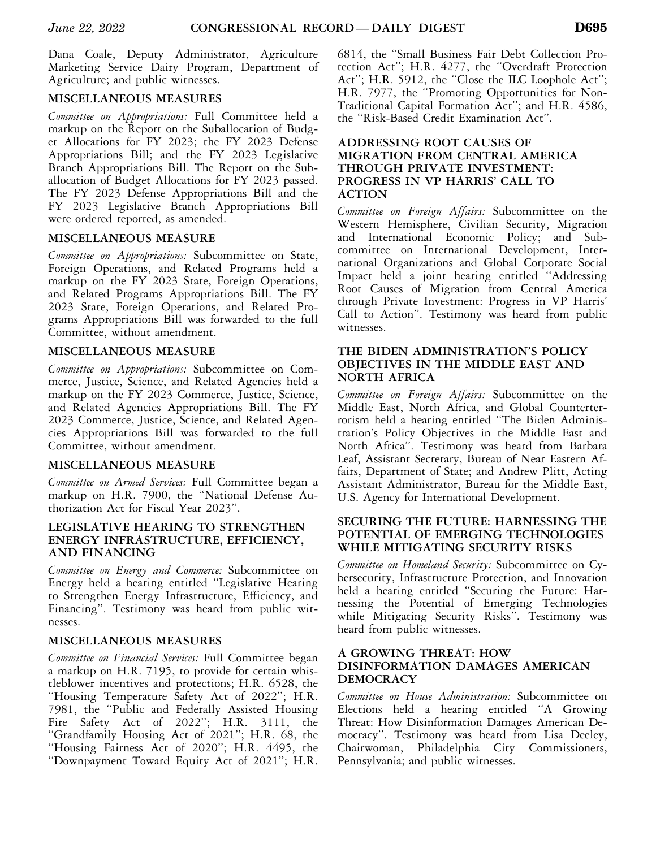Dana Coale, Deputy Administrator, Agriculture Marketing Service Dairy Program, Department of Agriculture; and public witnesses.

# **MISCELLANEOUS MEASURES**

*Committee on Appropriations:* Full Committee held a markup on the Report on the Suballocation of Budget Allocations for FY 2023; the FY 2023 Defense Appropriations Bill; and the FY 2023 Legislative Branch Appropriations Bill. The Report on the Suballocation of Budget Allocations for FY 2023 passed. The FY 2023 Defense Appropriations Bill and the FY 2023 Legislative Branch Appropriations Bill were ordered reported, as amended.

## **MISCELLANEOUS MEASURE**

*Committee on Appropriations:* Subcommittee on State, Foreign Operations, and Related Programs held a markup on the FY 2023 State, Foreign Operations, and Related Programs Appropriations Bill. The FY 2023 State, Foreign Operations, and Related Programs Appropriations Bill was forwarded to the full Committee, without amendment.

# **MISCELLANEOUS MEASURE**

*Committee on Appropriations:* Subcommittee on Commerce, Justice, Science, and Related Agencies held a markup on the FY 2023 Commerce, Justice, Science, and Related Agencies Appropriations Bill. The FY 2023 Commerce, Justice, Science, and Related Agencies Appropriations Bill was forwarded to the full Committee, without amendment.

# **MISCELLANEOUS MEASURE**

*Committee on Armed Services:* Full Committee began a markup on H.R. 7900, the ''National Defense Authorization Act for Fiscal Year 2023''.

## **LEGISLATIVE HEARING TO STRENGTHEN ENERGY INFRASTRUCTURE, EFFICIENCY, AND FINANCING**

*Committee on Energy and Commerce:* Subcommittee on Energy held a hearing entitled ''Legislative Hearing to Strengthen Energy Infrastructure, Efficiency, and Financing''. Testimony was heard from public witnesses.

# **MISCELLANEOUS MEASURES**

*Committee on Financial Services:* Full Committee began a markup on H.R. 7195, to provide for certain whistleblower incentives and protections; H.R. 6528, the ''Housing Temperature Safety Act of 2022''; H.R. 7981, the ''Public and Federally Assisted Housing Fire Safety Act of 2022''; H.R. 3111, the ''Grandfamily Housing Act of 2021''; H.R. 68, the ''Housing Fairness Act of 2020''; H.R. 4495, the ''Downpayment Toward Equity Act of 2021''; H.R.

6814, the ''Small Business Fair Debt Collection Protection Act''; H.R. 4277, the ''Overdraft Protection Act''; H.R. 5912, the ''Close the ILC Loophole Act''; H.R. 7977, the ''Promoting Opportunities for Non-Traditional Capital Formation Act''; and H.R. 4586, the ''Risk-Based Credit Examination Act''.

#### **ADDRESSING ROOT CAUSES OF MIGRATION FROM CENTRAL AMERICA THROUGH PRIVATE INVESTMENT: PROGRESS IN VP HARRIS' CALL TO ACTION**

*Committee on Foreign Affairs:* Subcommittee on the Western Hemisphere, Civilian Security, Migration and International Economic Policy; and Subcommittee on International Development, International Organizations and Global Corporate Social Impact held a joint hearing entitled ''Addressing Root Causes of Migration from Central America through Private Investment: Progress in VP Harris' Call to Action''. Testimony was heard from public witnesses.

#### **THE BIDEN ADMINISTRATION'S POLICY OBJECTIVES IN THE MIDDLE EAST AND NORTH AFRICA**

*Committee on Foreign Affairs:* Subcommittee on the Middle East, North Africa, and Global Counterterrorism held a hearing entitled ''The Biden Administration's Policy Objectives in the Middle East and North Africa''. Testimony was heard from Barbara Leaf, Assistant Secretary, Bureau of Near Eastern Affairs, Department of State; and Andrew Plitt, Acting Assistant Administrator, Bureau for the Middle East, U.S. Agency for International Development.

#### **SECURING THE FUTURE: HARNESSING THE POTENTIAL OF EMERGING TECHNOLOGIES WHILE MITIGATING SECURITY RISKS**

*Committee on Homeland Security:* Subcommittee on Cybersecurity, Infrastructure Protection, and Innovation held a hearing entitled ''Securing the Future: Harnessing the Potential of Emerging Technologies while Mitigating Security Risks''. Testimony was heard from public witnesses.

## **A GROWING THREAT: HOW DISINFORMATION DAMAGES AMERICAN DEMOCRACY**

*Committee on House Administration:* Subcommittee on Elections held a hearing entitled ''A Growing Threat: How Disinformation Damages American Democracy''. Testimony was heard from Lisa Deeley, Chairwoman, Philadelphia City Commissioners, Pennsylvania; and public witnesses.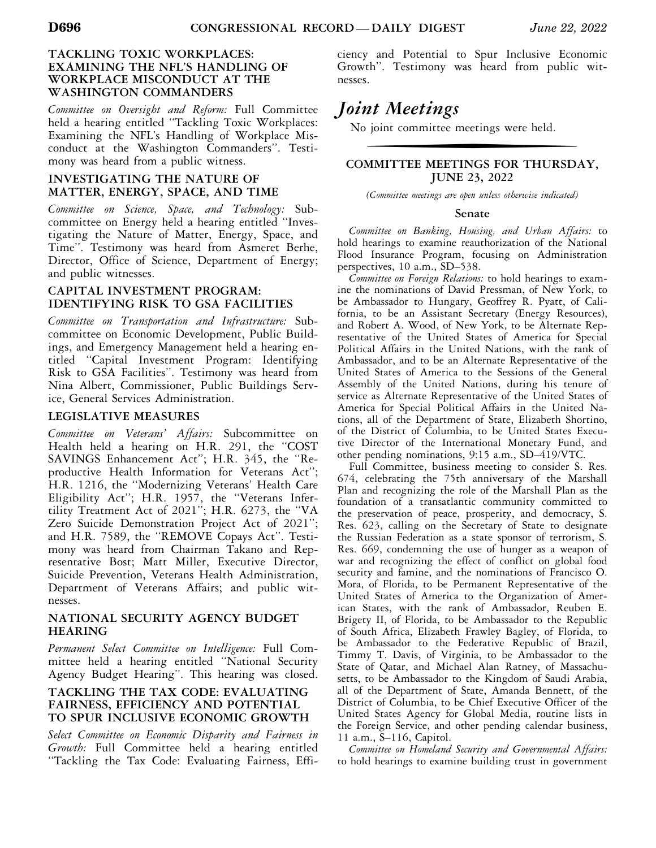## **TACKLING TOXIC WORKPLACES: EXAMINING THE NFL'S HANDLING OF WORKPLACE MISCONDUCT AT THE WASHINGTON COMMANDERS**

*Committee on Oversight and Reform:* Full Committee held a hearing entitled ''Tackling Toxic Workplaces: Examining the NFL's Handling of Workplace Misconduct at the Washington Commanders''. Testimony was heard from a public witness.

#### **INVESTIGATING THE NATURE OF MATTER, ENERGY, SPACE, AND TIME**

*Committee on Science, Space, and Technology:* Subcommittee on Energy held a hearing entitled ''Investigating the Nature of Matter, Energy, Space, and Time''. Testimony was heard from Asmeret Berhe, Director, Office of Science, Department of Energy; and public witnesses.

#### **CAPITAL INVESTMENT PROGRAM: IDENTIFYING RISK TO GSA FACILITIES**

*Committee on Transportation and Infrastructure:* Subcommittee on Economic Development, Public Buildings, and Emergency Management held a hearing entitled ''Capital Investment Program: Identifying Risk to GSA Facilities''. Testimony was heard from Nina Albert, Commissioner, Public Buildings Service, General Services Administration.

#### **LEGISLATIVE MEASURES**

*Committee on Veterans' Affairs:* Subcommittee on Health held a hearing on H.R. 291, the "COST SAVINGS Enhancement Act''; H.R. 345, the ''Reproductive Health Information for Veterans Act''; H.R. 1216, the ''Modernizing Veterans' Health Care Eligibility Act''; H.R. 1957, the ''Veterans Infertility Treatment Act of 2021''; H.R. 6273, the ''VA Zero Suicide Demonstration Project Act of 2021''; and H.R. 7589, the ''REMOVE Copays Act''. Testimony was heard from Chairman Takano and Representative Bost; Matt Miller, Executive Director, Suicide Prevention, Veterans Health Administration, Department of Veterans Affairs; and public witnesses.

#### **NATIONAL SECURITY AGENCY BUDGET HEARING**

*Permanent Select Committee on Intelligence:* Full Committee held a hearing entitled ''National Security Agency Budget Hearing''. This hearing was closed.

#### **TACKLING THE TAX CODE: EVALUATING FAIRNESS, EFFICIENCY AND POTENTIAL TO SPUR INCLUSIVE ECONOMIC GROWTH**

*Select Committee on Economic Disparity and Fairness in Growth:* Full Committee held a hearing entitled ''Tackling the Tax Code: Evaluating Fairness, Efficiency and Potential to Spur Inclusive Economic Growth''. Testimony was heard from public witnesses.

# *Joint Meetings*

No joint committee meetings were held.

# **COMMITTEE MEETINGS FOR THURSDAY, JUNE 23, 2022**

*(Committee meetings are open unless otherwise indicated)* 

#### **Senate**

*Committee on Banking, Housing, and Urban Affairs:* to hold hearings to examine reauthorization of the National Flood Insurance Program, focusing on Administration perspectives, 10 a.m., SD–538.

*Committee on Foreign Relations:* to hold hearings to examine the nominations of David Pressman, of New York, to be Ambassador to Hungary, Geoffrey R. Pyatt, of California, to be an Assistant Secretary (Energy Resources), and Robert A. Wood, of New York, to be Alternate Representative of the United States of America for Special Political Affairs in the United Nations, with the rank of Ambassador, and to be an Alternate Representative of the United States of America to the Sessions of the General Assembly of the United Nations, during his tenure of service as Alternate Representative of the United States of America for Special Political Affairs in the United Nations, all of the Department of State, Elizabeth Shortino, of the District of Columbia, to be United States Executive Director of the International Monetary Fund, and other pending nominations, 9:15 a.m., SD–419/VTC.

Full Committee, business meeting to consider S. Res. 674, celebrating the 75th anniversary of the Marshall Plan and recognizing the role of the Marshall Plan as the foundation of a transatlantic community committed to the preservation of peace, prosperity, and democracy, S. Res. 623, calling on the Secretary of State to designate the Russian Federation as a state sponsor of terrorism, S. Res. 669, condemning the use of hunger as a weapon of war and recognizing the effect of conflict on global food security and famine, and the nominations of Francisco O. Mora, of Florida, to be Permanent Representative of the United States of America to the Organization of American States, with the rank of Ambassador, Reuben E. Brigety II, of Florida, to be Ambassador to the Republic of South Africa, Elizabeth Frawley Bagley, of Florida, to be Ambassador to the Federative Republic of Brazil, Timmy T. Davis, of Virginia, to be Ambassador to the State of Qatar, and Michael Alan Ratney, of Massachusetts, to be Ambassador to the Kingdom of Saudi Arabia, all of the Department of State, Amanda Bennett, of the District of Columbia, to be Chief Executive Officer of the United States Agency for Global Media, routine lists in the Foreign Service, and other pending calendar business, 11 a.m., S–116, Capitol.

*Committee on Homeland Security and Governmental Affairs:*  to hold hearings to examine building trust in government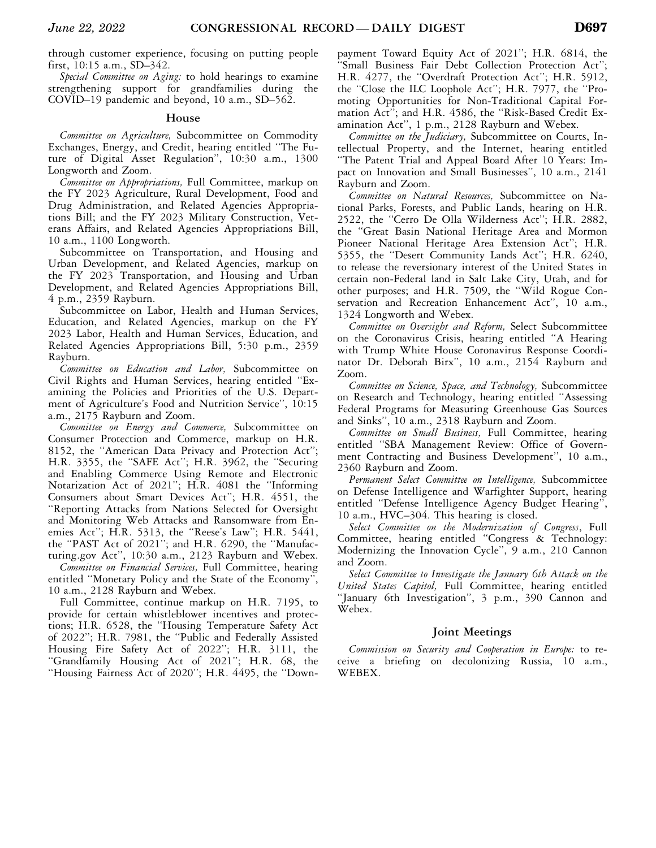through customer experience, focusing on putting people first, 10:15 a.m., SD–342.

*Special Committee on Aging:* to hold hearings to examine strengthening support for grandfamilies during the COVID–19 pandemic and beyond, 10 a.m., SD–562.

#### **House**

*Committee on Agriculture,* Subcommittee on Commodity Exchanges, Energy, and Credit, hearing entitled ''The Future of Digital Asset Regulation'', 10:30 a.m., 1300 Longworth and Zoom.

*Committee on Appropriations,* Full Committee, markup on the FY 2023 Agriculture, Rural Development, Food and Drug Administration, and Related Agencies Appropriations Bill; and the FY 2023 Military Construction, Veterans Affairs, and Related Agencies Appropriations Bill, 10 a.m., 1100 Longworth.

Subcommittee on Transportation, and Housing and Urban Development, and Related Agencies, markup on the FY 2023 Transportation, and Housing and Urban Development, and Related Agencies Appropriations Bill, 4 p.m., 2359 Rayburn.

Subcommittee on Labor, Health and Human Services, Education, and Related Agencies, markup on the FY 2023 Labor, Health and Human Services, Education, and Related Agencies Appropriations Bill, 5:30 p.m., 2359 Rayburn.

*Committee on Education and Labor,* Subcommittee on Civil Rights and Human Services, hearing entitled ''Examining the Policies and Priorities of the U.S. Department of Agriculture's Food and Nutrition Service'', 10:15 a.m., 2175 Rayburn and Zoom.

*Committee on Energy and Commerce,* Subcommittee on Consumer Protection and Commerce, markup on H.R. 8152, the ''American Data Privacy and Protection Act''; H.R. 3355, the ''SAFE Act''; H.R. 3962, the ''Securing and Enabling Commerce Using Remote and Electronic Notarization Act of 2021''; H.R. 4081 the ''Informing Consumers about Smart Devices Act''; H.R. 4551, the ''Reporting Attacks from Nations Selected for Oversight and Monitoring Web Attacks and Ransomware from Enemies Act''; H.R. 5313, the ''Reese's Law''; H.R. 5441, the ''PAST Act of 2021''; and H.R. 6290, the ''Manufacturing.gov Act'', 10:30 a.m., 2123 Rayburn and Webex.

*Committee on Financial Services,* Full Committee, hearing entitled ''Monetary Policy and the State of the Economy'', 10 a.m., 2128 Rayburn and Webex.

Full Committee, continue markup on H.R. 7195, to provide for certain whistleblower incentives and protections; H.R. 6528, the ''Housing Temperature Safety Act of 2022''; H.R. 7981, the ''Public and Federally Assisted Housing Fire Safety Act of 2022''; H.R. 3111, the ''Grandfamily Housing Act of 2021''; H.R. 68, the ''Housing Fairness Act of 2020''; H.R. 4495, the ''Downpayment Toward Equity Act of 2021''; H.R. 6814, the ''Small Business Fair Debt Collection Protection Act''; H.R. 4277, the ''Overdraft Protection Act''; H.R. 5912, the ''Close the ILC Loophole Act''; H.R. 7977, the ''Promoting Opportunities for Non-Traditional Capital Formation Act''; and H.R. 4586, the ''Risk-Based Credit Examination Act'', 1 p.m., 2128 Rayburn and Webex.

*Committee on the Judiciary,* Subcommittee on Courts, Intellectual Property, and the Internet, hearing entitled ''The Patent Trial and Appeal Board After 10 Years: Impact on Innovation and Small Businesses'', 10 a.m., 2141 Rayburn and Zoom.

*Committee on Natural Resources,* Subcommittee on National Parks, Forests, and Public Lands, hearing on H.R. 2522, the ''Cerro De Olla Wilderness Act''; H.R. 2882, the ''Great Basin National Heritage Area and Mormon Pioneer National Heritage Area Extension Act''; H.R. 5355, the ''Desert Community Lands Act''; H.R. 6240, to release the reversionary interest of the United States in certain non-Federal land in Salt Lake City, Utah, and for other purposes; and H.R. 7509, the ''Wild Rogue Conservation and Recreation Enhancement Act", 10 a.m., 1324 Longworth and Webex.

*Committee on Oversight and Reform,* Select Subcommittee on the Coronavirus Crisis, hearing entitled ''A Hearing with Trump White House Coronavirus Response Coordinator Dr. Deborah Birx'', 10 a.m., 2154 Rayburn and Zoom.

*Committee on Science, Space, and Technology,* Subcommittee on Research and Technology, hearing entitled ''Assessing Federal Programs for Measuring Greenhouse Gas Sources and Sinks'', 10 a.m., 2318 Rayburn and Zoom.

*Committee on Small Business,* Full Committee, hearing entitled ''SBA Management Review: Office of Government Contracting and Business Development'', 10 a.m., 2360 Rayburn and Zoom.

*Permanent Select Committee on Intelligence,* Subcommittee on Defense Intelligence and Warfighter Support, hearing entitled ''Defense Intelligence Agency Budget Hearing'', 10 a.m., HVC–304. This hearing is closed.

*Select Committee on the Modernization of Congress*, Full Committee, hearing entitled ''Congress & Technology: Modernizing the Innovation Cycle'', 9 a.m., 210 Cannon and Zoom.

*Select Committee to Investigate the January 6th Attack on the United States Capitol,* Full Committee, hearing entitled ''January 6th Investigation'', 3 p.m., 390 Cannon and Webex.

#### **Joint Meetings**

*Commission on Security and Cooperation in Europe:* to receive a briefing on decolonizing Russia, 10 a.m., WEBEX.